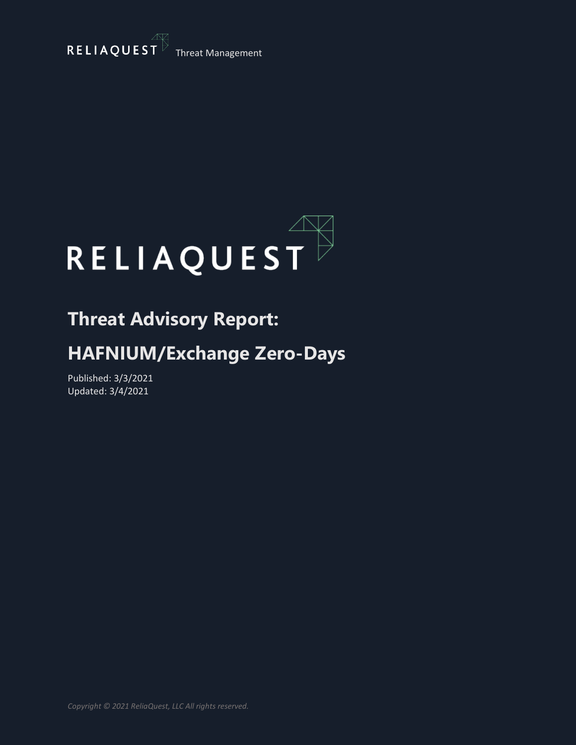



## **Threat Advisory Report:**

## **HAFNIUM/Exchange Zero-Days**

Published: 3/3/2021 Updated: 3/4/2021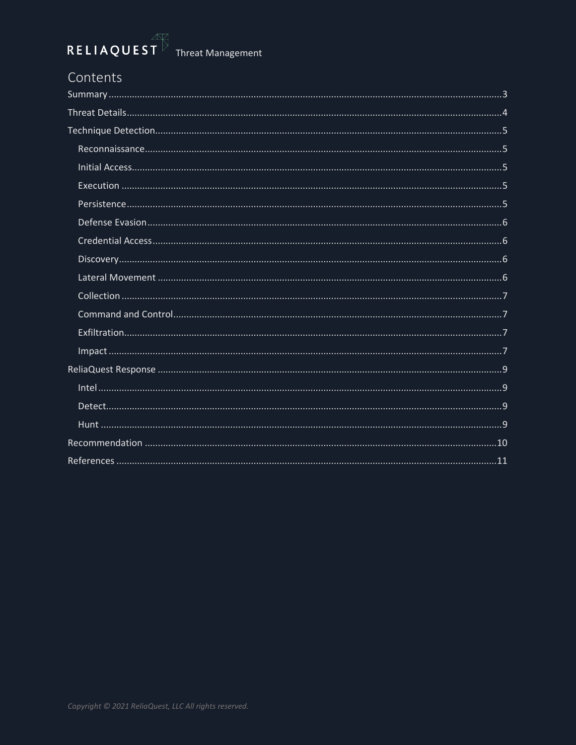### Contents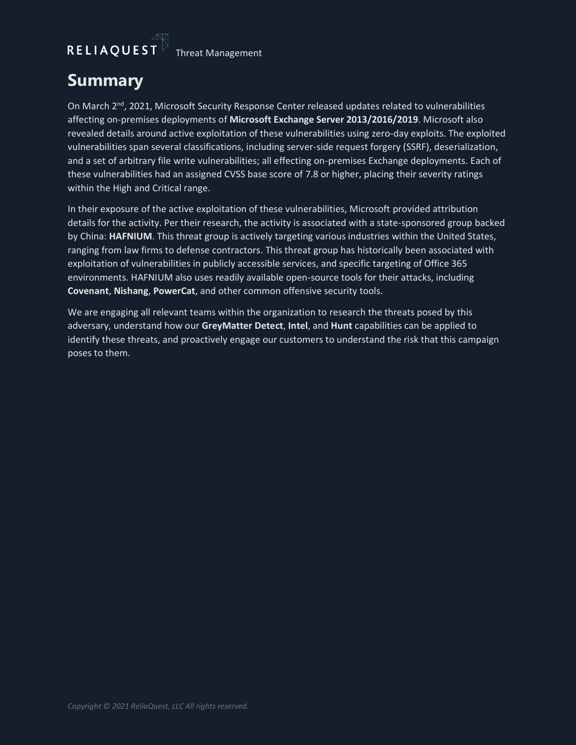# $\begin{array}{|l|l|}\n\hline\n\text{RELIAQUEST} & \text{Thread Management} \\\hline\n\end{array}$

### <span id="page-2-0"></span>**Summary**

On March 2<sup>nd</sup>, 2021, Microsoft Security Response Center released updates related to vulnerabilities affecting on-premises deployments of **Microsoft Exchange Server 2013/2016/2019**. Microsoft also revealed details around active exploitation of these vulnerabilities using zero-day exploits. The exploited vulnerabilities span several classifications, including server-side request forgery (SSRF), deserialization, and a set of arbitrary file write vulnerabilities; all effecting on-premises Exchange deployments. Each of these vulnerabilities had an assigned CVSS base score of 7.8 or higher, placing their severity ratings within the High and Critical range.

In their exposure of the active exploitation of these vulnerabilities, Microsoft provided attribution details for the activity. Per their research, the activity is associated with a state-sponsored group backed by China: **HAFNIUM**. This threat group is actively targeting various industries within the United States, ranging from law firms to defense contractors. This threat group has historically been associated with exploitation of vulnerabilities in publicly accessible services, and specific targeting of Office 365 environments. HAFNIUM also uses readily available open-source tools for their attacks, including **Covenant**, **Nishang**, **PowerCat**, and other common offensive security tools.

We are engaging all relevant teams within the organization to research the threats posed by this adversary, understand how our **GreyMatter Detect**, **Intel**, and **Hunt** capabilities can be applied to identify these threats, and proactively engage our customers to understand the risk that this campaign poses to them.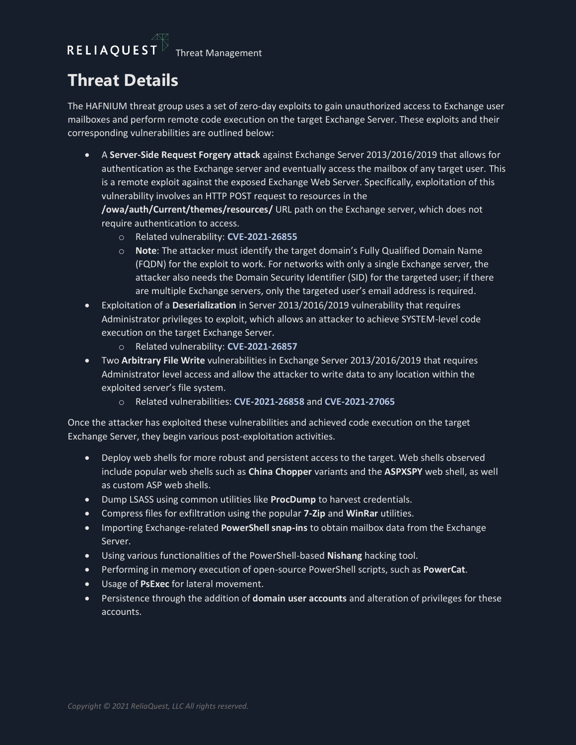## <span id="page-3-0"></span>**Threat Details**

The HAFNIUM threat group uses a set of zero-day exploits to gain unauthorized access to Exchange user mailboxes and perform remote code execution on the target Exchange Server. These exploits and their corresponding vulnerabilities are outlined below:

• A **Server-Side Request Forgery attack** against Exchange Server 2013/2016/2019 that allows for authentication as the Exchange server and eventually access the mailbox of any target user. This is a remote exploit against the exposed Exchange Web Server. Specifically, exploitation of this vulnerability involves an HTTP POST request to resources in the

**/owa/auth/Current/themes/resources/** URL path on the Exchange server, which does not require authentication to access.

- o Related vulnerability: **CVE-2021-26855**
- o **Note**: The attacker must identify the target domain's Fully Qualified Domain Name (FQDN) for the exploit to work. For networks with only a single Exchange server, the attacker also needs the Domain Security Identifier (SID) for the targeted user; if there are multiple Exchange servers, only the targeted user's email address is required.
- Exploitation of a **Deserialization** in Server 2013/2016/2019 vulnerability that requires Administrator privileges to exploit, which allows an attacker to achieve SYSTEM-level code execution on the target Exchange Server.
	- o Related vulnerability: **CVE-2021-26857**
- Two **Arbitrary File Write** vulnerabilities in Exchange Server 2013/2016/2019 that requires Administrator level access and allow the attacker to write data to any location within the exploited server's file system.
	- o Related vulnerabilities: **CVE-2021-26858** and **CVE-2021-27065**

Once the attacker has exploited these vulnerabilities and achieved code execution on the target Exchange Server, they begin various post-exploitation activities.

- Deploy web shells for more robust and persistent access to the target. Web shells observed include popular web shells such as **China Chopper** variants and the **ASPXSPY** web shell, as well as custom ASP web shells.
- Dump LSASS using common utilities like **ProcDump** to harvest credentials.
- Compress files for exfiltration using the popular **7-Zip** and **WinRar** utilities.
- Importing Exchange-related **PowerShell snap-ins** to obtain mailbox data from the Exchange Server.
- Using various functionalities of the PowerShell-based **Nishang** hacking tool.
- Performing in memory execution of open-source PowerShell scripts, such as **PowerCat**.
- Usage of **PsExec** for lateral movement.
- Persistence through the addition of **domain user accounts** and alteration of privileges for these accounts.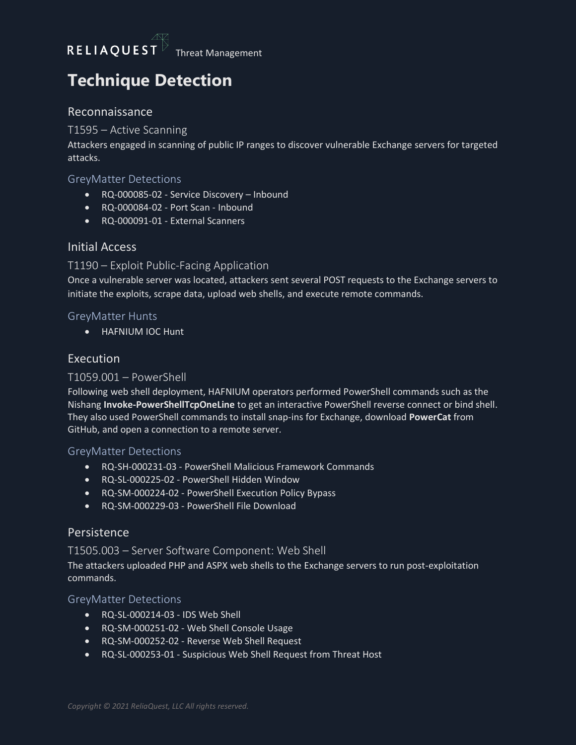## <span id="page-4-0"></span>**Technique Detection**

#### <span id="page-4-1"></span>Reconnaissance

#### T1595 – Active Scanning

Attackers engaged in scanning of public IP ranges to discover vulnerable Exchange servers for targeted attacks.

#### GreyMatter Detections

- RQ-000085-02 Service Discovery Inbound
- RQ-000084-02 Port Scan Inbound
- RQ-000091-01 External Scanners

#### <span id="page-4-2"></span>Initial Access

#### T1190 – Exploit Public-Facing Application

Once a vulnerable server was located, attackers sent several POST requests to the Exchange servers to initiate the exploits, scrape data, upload web shells, and execute remote commands.

#### GreyMatter Hunts

• HAFNIUM IOC Hunt

#### <span id="page-4-3"></span>Execution

#### T1059.001 – PowerShell

Following web shell deployment, HAFNIUM operators performed PowerShell commands such as the Nishang **Invoke-PowerShellTcpOneLine** to get an interactive PowerShell reverse connect or bind shell. They also used PowerShell commands to install snap-ins for Exchange, download **PowerCat** from GitHub, and open a connection to a remote server.

#### GreyMatter Detections

- RQ-SH-000231-03 PowerShell Malicious Framework Commands
- RQ-SL-000225-02 PowerShell Hidden Window
- RQ-SM-000224-02 PowerShell Execution Policy Bypass
- RQ-SM-000229-03 PowerShell File Download

#### <span id="page-4-4"></span>Persistence

#### T1505.003 – Server Software Component: Web Shell

The attackers uploaded PHP and ASPX web shells to the Exchange servers to run post-exploitation commands.

#### GreyMatter Detections

- RQ-SL-000214-03 IDS Web Shell
- RQ-SM-000251-02 Web Shell Console Usage
- RQ-SM-000252-02 Reverse Web Shell Request
- RQ-SL-000253-01 Suspicious Web Shell Request from Threat Host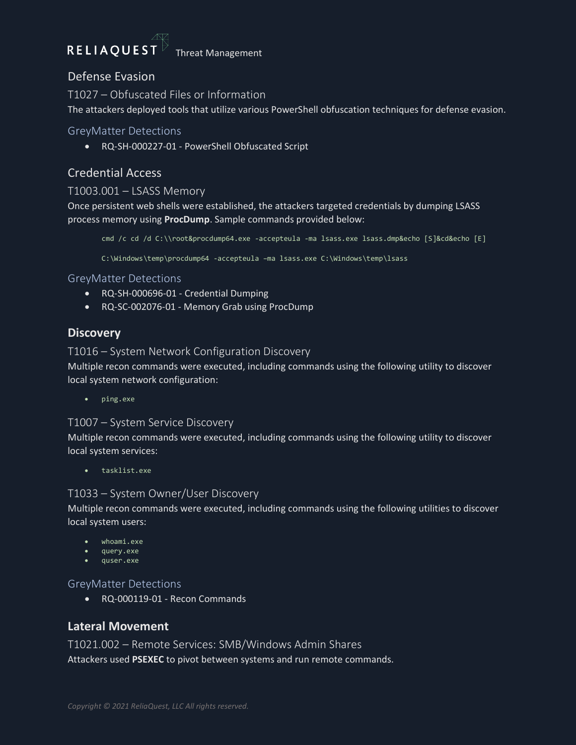## RELIAQUEST

Threat Management

#### <span id="page-5-0"></span>Defense Evasion

T1027 – Obfuscated Files or Information The attackers deployed tools that utilize various PowerShell obfuscation techniques for defense evasion.

#### GreyMatter Detections

• RQ-SH-000227-01 - PowerShell Obfuscated Script

#### <span id="page-5-1"></span>Credential Access

#### T1003.001 – LSASS Memory

Once persistent web shells were established, the attackers targeted credentials by dumping LSASS process memory using **ProcDump**. Sample commands provided below:

cmd /c cd /d C:\\root&procdump64.exe -accepteula -ma lsass.exe lsass.dmp&echo [S]&cd&echo [E]

C:\Windows\temp\procdump64 -accepteula –ma lsass.exe C:\Windows\temp\lsass

GreyMatter Detections

- RQ-SH-000696-01 Credential Dumping
- RQ-SC-002076-01 Memory Grab using ProcDump

#### <span id="page-5-2"></span>**Discovery**

#### T1016 – System Network Configuration Discovery

Multiple recon commands were executed, including commands using the following utility to discover local system network configuration:

• ping.exe

#### T1007 – System Service Discovery

Multiple recon commands were executed, including commands using the following utility to discover local system services:

• tasklist.exe

#### T1033 – System Owner/User Discovery

Multiple recon commands were executed, including commands using the following utilities to discover local system users:

- whoami.exe
- query.exe
- quser.exe

#### GreyMatter Detections

• RQ-000119-01 - Recon Commands

#### <span id="page-5-3"></span>**Lateral Movement**

T1021.002 – Remote Services: SMB/Windows Admin Shares Attackers used **PSEXEC** to pivot between systems and run remote commands.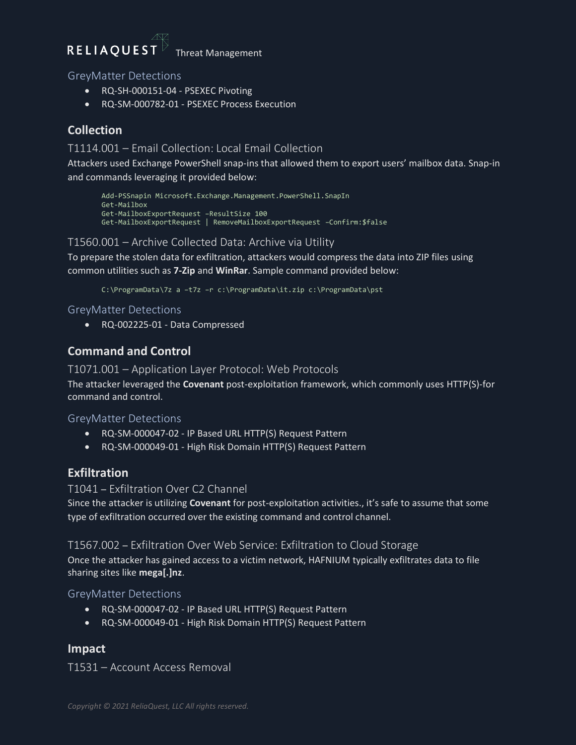### RELIAQUEST

Threat Management

GreyMatter Detections

- RQ-SH-000151-04 PSEXEC Pivoting
- RQ-SM-000782-01 PSEXEC Process Execution

#### <span id="page-6-0"></span>**Collection**

#### T1114.001 – Email Collection: Local Email Collection

Attackers used Exchange PowerShell snap-ins that allowed them to export users' mailbox data. Snap-in and commands leveraging it provided below:

```
Add-PSSnapin Microsoft.Exchange.Management.PowerShell.SnapIn
Get-Mailbox
Get-MailboxExportRequest –ResultSize 100
Get-MailboxExportRequest | RemoveMailboxExportRequest –Confirm:$false
```
#### T1560.001 – Archive Collected Data: Archive via Utility

To prepare the stolen data for exfiltration, attackers would compress the data into ZIP files using common utilities such as **7-Zip** and **WinRar**. Sample command provided below:

C:\ProgramData\7z a –t7z –r c:\ProgramData\it.zip c:\ProgramData\pst

#### GreyMatter Detections

• RQ-002225-01 - Data Compressed

#### <span id="page-6-1"></span>**Command and Control**

T1071.001 – Application Layer Protocol: Web Protocols

The attacker leveraged the **Covenant** post-exploitation framework, which commonly uses HTTP(S)-for command and control.

#### GreyMatter Detections

- RQ-SM-000047-02 IP Based URL HTTP(S) Request Pattern
- RQ-SM-000049-01 High Risk Domain HTTP(S) Request Pattern

#### <span id="page-6-2"></span>**Exfiltration**

#### T1041 – Exfiltration Over C2 Channel

Since the attacker is utilizing **Covenant** for post-exploitation activities., it's safe to assume that some type of exfiltration occurred over the existing command and control channel.

#### T1567.002 – Exfiltration Over Web Service: Exfiltration to Cloud Storage

Once the attacker has gained access to a victim network, HAFNIUM typically exfiltrates data to file sharing sites like **mega[.]nz**.

#### GreyMatter Detections

- RQ-SM-000047-02 IP Based URL HTTP(S) Request Pattern
- RQ-SM-000049-01 High Risk Domain HTTP(S) Request Pattern

#### <span id="page-6-3"></span>**Impact**

T1531 – Account Access Removal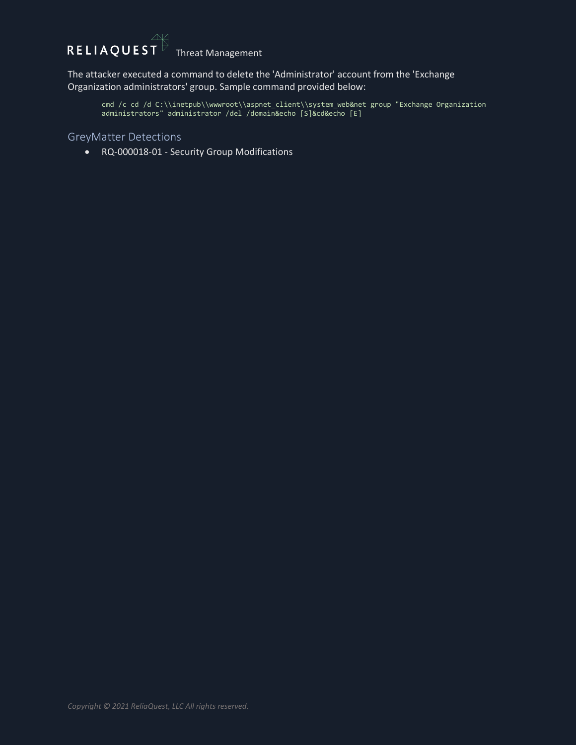# $\overline{R}$  **ELIAQUEST** Threat Management



The attacker executed a command to delete the 'Administrator' account from the 'Exchange Organization administrators' group. Sample command provided below:

```
cmd /c cd /d C:\\inetpub\\wwwroot\\aspnet_client\\system_web&net group "Exchange Organization 
administrators" administrator /del /domain&echo [S]&cd&echo [E]
```
#### GreyMatter Detections

• RQ-000018-01 - Security Group Modifications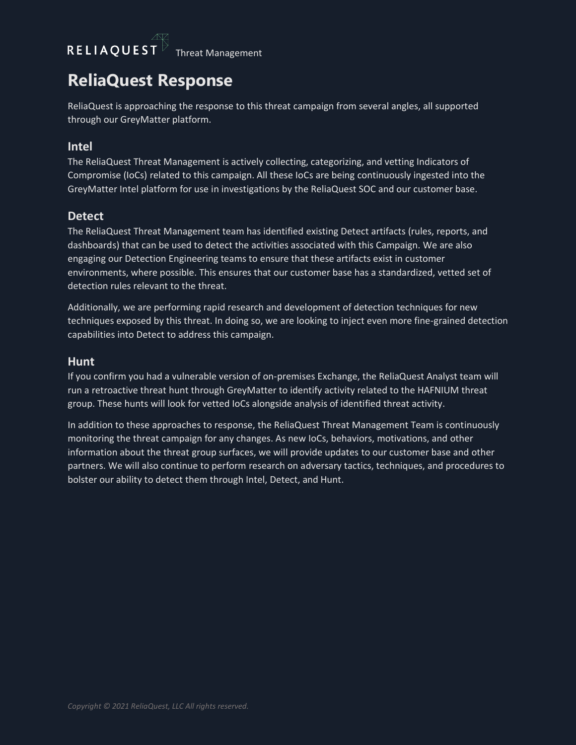## RELIAQUEST  $\overline{TT}$  Threat Management

### <span id="page-8-0"></span>**ReliaQuest Response**

ReliaQuest is approaching the response to this threat campaign from several angles, all supported through our GreyMatter platform.

#### <span id="page-8-1"></span>**Intel**

The ReliaQuest Threat Management is actively collecting, categorizing, and vetting Indicators of Compromise (IoCs) related to this campaign. All these IoCs are being continuously ingested into the GreyMatter Intel platform for use in investigations by the ReliaQuest SOC and our customer base.

#### <span id="page-8-2"></span>**Detect**

The ReliaQuest Threat Management team has identified existing Detect artifacts (rules, reports, and dashboards) that can be used to detect the activities associated with this Campaign. We are also engaging our Detection Engineering teams to ensure that these artifacts exist in customer environments, where possible. This ensures that our customer base has a standardized, vetted set of detection rules relevant to the threat.

Additionally, we are performing rapid research and development of detection techniques for new techniques exposed by this threat. In doing so, we are looking to inject even more fine-grained detection capabilities into Detect to address this campaign.

#### <span id="page-8-3"></span>**Hunt**

If you confirm you had a vulnerable version of on-premises Exchange, the ReliaQuest Analyst team will run a retroactive threat hunt through GreyMatter to identify activity related to the HAFNIUM threat group. These hunts will look for vetted IoCs alongside analysis of identified threat activity.

In addition to these approaches to response, the ReliaQuest Threat Management Team is continuously monitoring the threat campaign for any changes. As new IoCs, behaviors, motivations, and other information about the threat group surfaces, we will provide updates to our customer base and other partners. We will also continue to perform research on adversary tactics, techniques, and procedures to bolster our ability to detect them through Intel, Detect, and Hunt.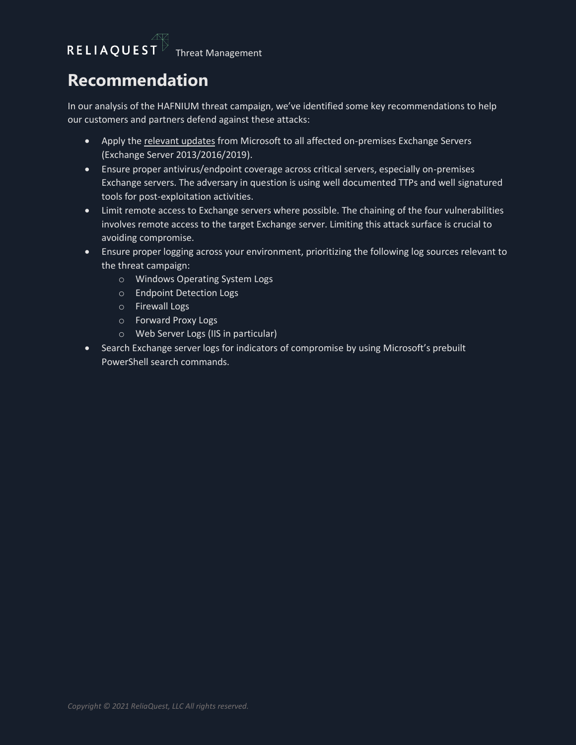### <span id="page-9-0"></span>**Recommendation**

In our analysis of the HAFNIUM threat campaign, we've identified some key recommendations to help our customers and partners defend against these attacks:

- Apply the [relevant updates](https://techcommunity.microsoft.com/t5/exchange-team-blog/released-march-2021-exchange-server-security-updates/ba-p/2175901) from Microsoft to all affected on-premises Exchange Servers (Exchange Server 2013/2016/2019).
- Ensure proper antivirus/endpoint coverage across critical servers, especially on-premises Exchange servers. The adversary in question is using well documented TTPs and well signatured tools for post-exploitation activities.
- Limit remote access to Exchange servers where possible. The chaining of the four vulnerabilities involves remote access to the target Exchange server. Limiting this attack surface is crucial to avoiding compromise.
- Ensure proper logging across your environment, prioritizing the following log sources relevant to the threat campaign:
	- o Windows Operating System Logs
	- o Endpoint Detection Logs
	- o Firewall Logs
	- o Forward Proxy Logs
	- o Web Server Logs (IIS in particular)
- Search Exchange server logs for indicators of compromise by using Microsoft's prebuilt PowerShell search commands.